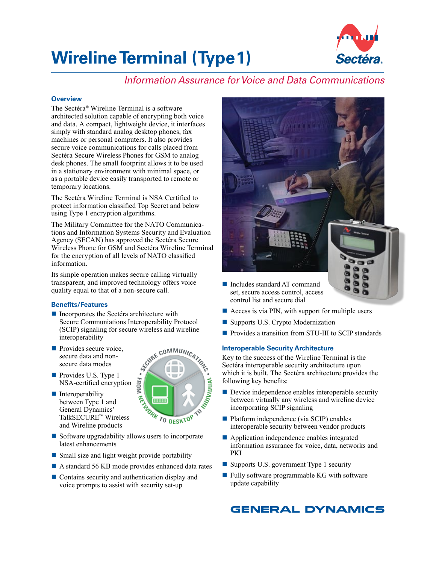# **Wireline Terminal (Type 1)**



## *Information Assurance for Voice and Data Communications*

## **Overview**

The Sectéra® Wireline Terminal is a software architected solution capable of encrypting both voice and data. A compact, lightweight device, it interfaces simply with standard analog desktop phones, fax machines or personal computers. It also provides secure voice communications for calls placed from Sectéra Secure Wireless Phones for GSM to analog desk phones. The small footprint allows it to be used in a stationary environment with minimal space, or as a portable device easily transported to remote or temporary locations.

The Sectéra Wireline Terminal is NSA Certified to protect information classified Top Secret and below using Type 1 encryption algorithms.

The Military Committee for the NATO Communications and Information Systems Security and Evaluation Agency (SECAN) has approved the Sectéra Secure Wireless Phone for GSM and Sectéra Wireline Terminal for the encryption of all levels of NATO classified information.

Its simple operation makes secure calling virtually transparent, and improved technology offers voice quality equal to that of a non-secure call.

## **Benefits/Features**

- **Incorporates the Sectéra architecture with** Secure Communiations Interoperability Protocol (SCIP) signaling for secure wireless and wireline interoperability
- **Provides secure voice,** secure data and nonsecure data modes
- **Provides U.S. Type 1** NSA-certified encryption
- **Interoperability** between Type 1 and General Dynamics' TalkSECURE™ Wireless and Wireline products



- Software upgradability allows users to incorporate latest enhancements
- Small size and light weight provide portability
- A standard 56 KB mode provides enhanced data rates
- Contains security and authentication display and voice prompts to assist with security set-up



- Includes standard AT command set, secure access control, access control list and secure dial
- Access is via PIN, with support for multiple users
- **Supports U.S. Crypto Modernization**
- **Provides a transition from STU-III to SCIP standards**

## **Interoperable Security Architecture**

Key to the success of the Wireline Terminal is the Sectéra interoperable security architecture upon which it is built. The Sectéra architecture provides the following key benefits:

- **Device independence enables interoperable security** between virtually any wireless and wireline device incorporating SCIP signaling
- **Platform independence (via SCIP) enables** interoperable security between vendor products
- **Application independence enables integrated** information assurance for voice, data, networks and PKI
- Supports U.S. government Type 1 security
- Fully software programmable KG with software update capability